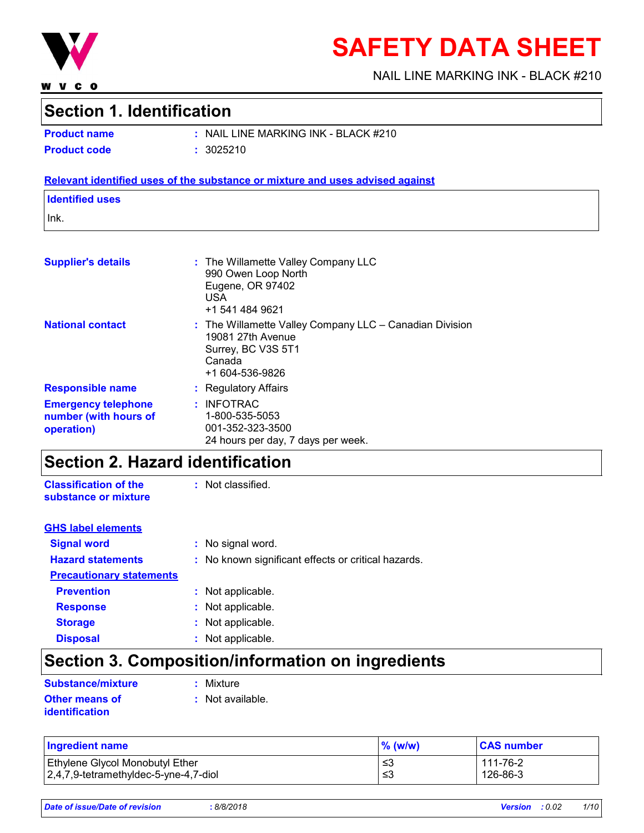

**WVCO** 

# **SAFETY DATA SHEET**

NAIL LINE MARKING INK - BLACK #210

### **Section 1. Identification**

**Product code :** 3025210

**Product name :** NAIL LINE MARKING INK - BLACK #210

#### **Relevant identified uses of the substance or mixture and uses advised against**

### **Identified uses**

Ink.

| <b>Supplier's details</b>                                         | : The Willamette Valley Company LLC<br>990 Owen Loop North<br>Eugene, OR 97402<br><b>USA</b><br>+1 541 484 9621                     |
|-------------------------------------------------------------------|-------------------------------------------------------------------------------------------------------------------------------------|
| <b>National contact</b>                                           | $:$ The Willamette Valley Company LLC $-$ Canadian Division<br>19081 27th Avenue<br>Surrey, BC V3S 5T1<br>Canada<br>+1 604-536-9826 |
| <b>Responsible name</b>                                           | : Regulatory Affairs                                                                                                                |
| <b>Emergency telephone</b><br>number (with hours of<br>operation) | : INFOTRAC<br>1-800-535-5053<br>001-352-323-3500<br>24 hours per day, 7 days per week.                                              |

### **Section 2. Hazard identification**

**Classification of the substance or mixture**

: Not classified.

| <b>GHS label elements</b>       |                                                     |
|---------------------------------|-----------------------------------------------------|
| <b>Signal word</b>              | : No signal word.                                   |
| <b>Hazard statements</b>        | : No known significant effects or critical hazards. |
| <b>Precautionary statements</b> |                                                     |
| <b>Prevention</b>               | : Not applicable.                                   |
| <b>Response</b>                 | : Not applicable.                                   |
| <b>Storage</b>                  | : Not applicable.                                   |
| <b>Disposal</b>                 | : Not applicable.                                   |

# **Section 3. Composition/information on ingredients**

| Substance/mixture     |  |  |
|-----------------------|--|--|
| <b>Other means of</b> |  |  |
| identification        |  |  |

**:** Mixture

**:** Not available.

| <b>Ingredient name</b>                | $\%$ (w/w) | <b>CAS number</b> |
|---------------------------------------|------------|-------------------|
| Ethylene Glycol Monobutyl Ether       | ≤3         | 111-76-2          |
| 2,4,7,9-tetramethyldec-5-yne-4,7-diol | ≤3         | 126-86-3          |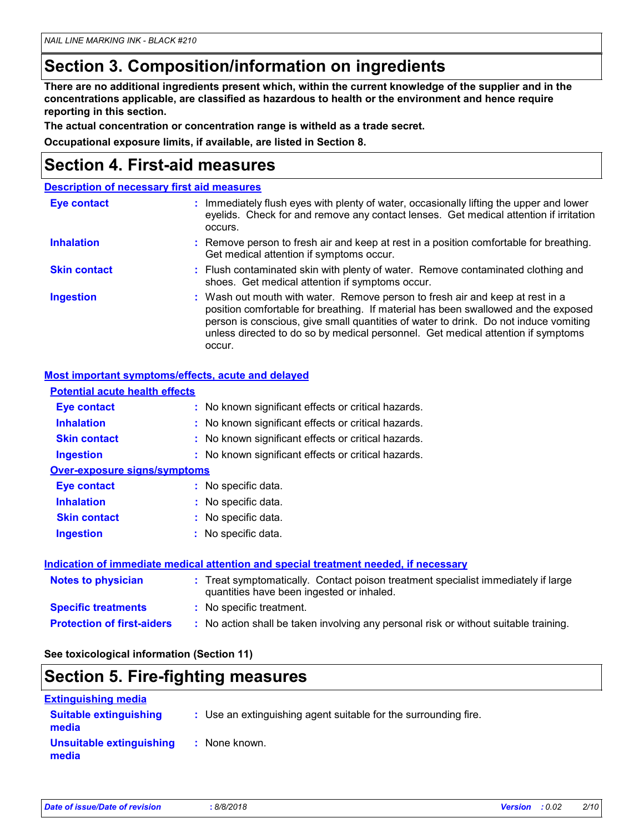## **Section 3. Composition/information on ingredients**

**There are no additional ingredients present which, within the current knowledge of the supplier and in the concentrations applicable, are classified as hazardous to health or the environment and hence require reporting in this section.**

**The actual concentration or concentration range is witheld as a trade secret.**

**Occupational exposure limits, if available, are listed in Section 8.**

### **Section 4. First-aid measures**

|                     | <b>Description of necessary first aid measures</b>                                                                                                                                                                                                                                                                                                        |
|---------------------|-----------------------------------------------------------------------------------------------------------------------------------------------------------------------------------------------------------------------------------------------------------------------------------------------------------------------------------------------------------|
| <b>Eye contact</b>  | : Immediately flush eyes with plenty of water, occasionally lifting the upper and lower<br>eyelids. Check for and remove any contact lenses. Get medical attention if irritation<br>occurs.                                                                                                                                                               |
| <b>Inhalation</b>   | : Remove person to fresh air and keep at rest in a position comfortable for breathing.<br>Get medical attention if symptoms occur.                                                                                                                                                                                                                        |
| <b>Skin contact</b> | : Flush contaminated skin with plenty of water. Remove contaminated clothing and<br>shoes. Get medical attention if symptoms occur.                                                                                                                                                                                                                       |
| <b>Ingestion</b>    | : Wash out mouth with water. Remove person to fresh air and keep at rest in a<br>position comfortable for breathing. If material has been swallowed and the exposed<br>person is conscious, give small quantities of water to drink. Do not induce vomiting<br>unless directed to do so by medical personnel. Get medical attention if symptoms<br>occur. |

#### **Most important symptoms/effects, acute and delayed**

| <b>Potential acute health effects</b> |                                                                                                                                |
|---------------------------------------|--------------------------------------------------------------------------------------------------------------------------------|
| Eye contact                           | : No known significant effects or critical hazards.                                                                            |
| <b>Inhalation</b>                     | : No known significant effects or critical hazards.                                                                            |
| <b>Skin contact</b>                   | : No known significant effects or critical hazards.                                                                            |
| <b>Ingestion</b>                      | : No known significant effects or critical hazards.                                                                            |
| <b>Over-exposure signs/symptoms</b>   |                                                                                                                                |
| Eye contact                           | : No specific data.                                                                                                            |
| <b>Inhalation</b>                     | : No specific data.                                                                                                            |
| <b>Skin contact</b>                   | : No specific data.                                                                                                            |
| <b>Ingestion</b>                      | $:$ No specific data.                                                                                                          |
|                                       | <b>Indication of immediate medical attention and special treatment needed, if necessary</b>                                    |
| <b>Notes to physician</b>             | : Treat symptomatically. Contact poison treatment specialist immediately if large<br>quantities have been ingested or inhaled. |
| <b>Specific treatments</b>            | : No specific treatment.                                                                                                       |
| <b>Protection of first-aiders</b>     | : No action shall be taken involving any personal risk or without suitable training.                                           |

#### **See toxicological information (Section 11)**

### **Section 5. Fire-fighting measures**

| <b>Extinguishing media</b>             |                                                                 |
|----------------------------------------|-----------------------------------------------------------------|
| <b>Suitable extinguishing</b><br>media | : Use an extinguishing agent suitable for the surrounding fire. |
| Unsuitable extinguishing<br>media      | : None known.                                                   |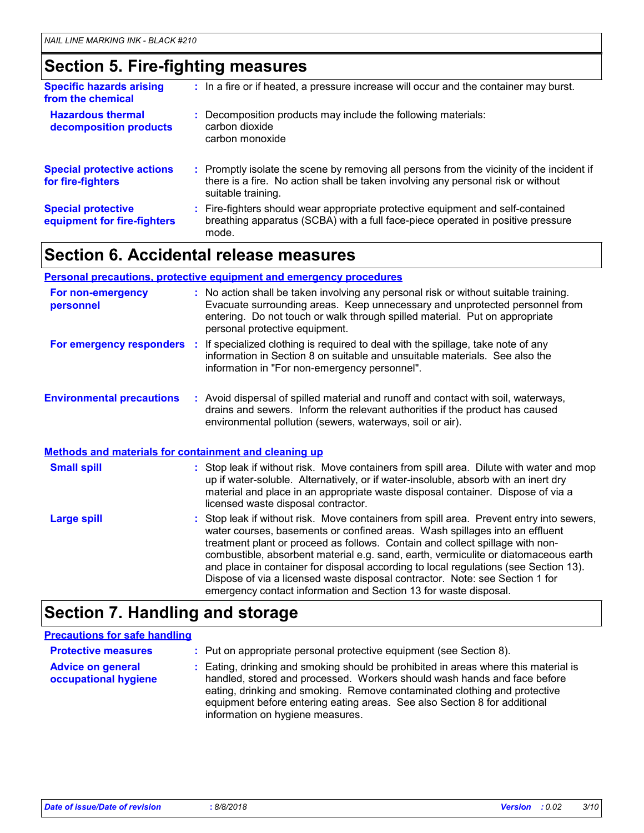### **Section 5. Fire-fighting measures**

| <b>Specific hazards arising</b><br>from the chemical     | : In a fire or if heated, a pressure increase will occur and the container may burst.                                                                                                               |
|----------------------------------------------------------|-----------------------------------------------------------------------------------------------------------------------------------------------------------------------------------------------------|
| <b>Hazardous thermal</b><br>decomposition products       | : Decomposition products may include the following materials:<br>carbon dioxide<br>carbon monoxide                                                                                                  |
| <b>Special protective actions</b><br>for fire-fighters   | : Promptly isolate the scene by removing all persons from the vicinity of the incident if<br>there is a fire. No action shall be taken involving any personal risk or without<br>suitable training. |
| <b>Special protective</b><br>equipment for fire-fighters | : Fire-fighters should wear appropriate protective equipment and self-contained<br>breathing apparatus (SCBA) with a full face-piece operated in positive pressure<br>mode.                         |

### **Section 6. Accidental release measures**

#### **Personal precautions, protective equipment and emergency procedures**

| For non-emergency<br>personnel   |                                                              | : No action shall be taken involving any personal risk or without suitable training.<br>Evacuate surrounding areas. Keep unnecessary and unprotected personnel from<br>entering. Do not touch or walk through spilled material. Put on appropriate<br>personal protective equipment.                                                                                                                                                                                                                                                                                                        |  |  |
|----------------------------------|--------------------------------------------------------------|---------------------------------------------------------------------------------------------------------------------------------------------------------------------------------------------------------------------------------------------------------------------------------------------------------------------------------------------------------------------------------------------------------------------------------------------------------------------------------------------------------------------------------------------------------------------------------------------|--|--|
|                                  |                                                              | For emergency responders : If specialized clothing is required to deal with the spillage, take note of any<br>information in Section 8 on suitable and unsuitable materials. See also the<br>information in "For non-emergency personnel".                                                                                                                                                                                                                                                                                                                                                  |  |  |
| <b>Environmental precautions</b> |                                                              | : Avoid dispersal of spilled material and runoff and contact with soil, waterways,<br>drains and sewers. Inform the relevant authorities if the product has caused<br>environmental pollution (sewers, waterways, soil or air).                                                                                                                                                                                                                                                                                                                                                             |  |  |
|                                  | <b>Methods and materials for containment and cleaning up</b> |                                                                                                                                                                                                                                                                                                                                                                                                                                                                                                                                                                                             |  |  |
| <b>Small spill</b>               |                                                              | : Stop leak if without risk. Move containers from spill area. Dilute with water and mop<br>up if water-soluble. Alternatively, or if water-insoluble, absorb with an inert dry<br>material and place in an appropriate waste disposal container. Dispose of via a<br>licensed waste disposal contractor.                                                                                                                                                                                                                                                                                    |  |  |
| <b>Large spill</b>               |                                                              | : Stop leak if without risk. Move containers from spill area. Prevent entry into sewers,<br>water courses, basements or confined areas. Wash spillages into an effluent<br>treatment plant or proceed as follows. Contain and collect spillage with non-<br>combustible, absorbent material e.g. sand, earth, vermiculite or diatomaceous earth<br>and place in container for disposal according to local regulations (see Section 13).<br>Dispose of via a licensed waste disposal contractor. Note: see Section 1 for<br>emergency contact information and Section 13 for waste disposal. |  |  |

### **Section 7. Handling and storage**

#### **Advice on general occupational hygiene** Eating, drinking and smoking should be prohibited in areas where this material is **:** handled, stored and processed. Workers should wash hands and face before eating, drinking and smoking. Remove contaminated clothing and protective equipment before entering eating areas. See also Section 8 for additional information on hygiene measures. **Protective measures : Put on appropriate personal protective equipment (see Section 8). Precautions for safe handling**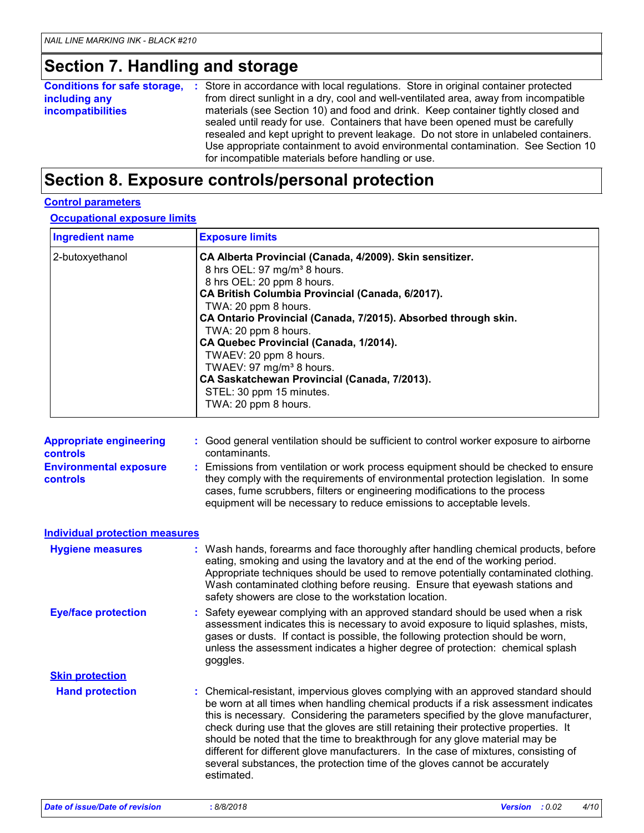# **Section 7. Handling and storage**

|                          | <b>Conditions for safe storage, :</b> Store in accordance with local regulations. Store in original container protected                                                                                                                                                                                                                                                                             |
|--------------------------|-----------------------------------------------------------------------------------------------------------------------------------------------------------------------------------------------------------------------------------------------------------------------------------------------------------------------------------------------------------------------------------------------------|
| including any            | from direct sunlight in a dry, cool and well-ventilated area, away from incompatible                                                                                                                                                                                                                                                                                                                |
| <i>incompatibilities</i> | materials (see Section 10) and food and drink. Keep container tightly closed and<br>sealed until ready for use. Containers that have been opened must be carefully<br>resealed and kept upright to prevent leakage. Do not store in unlabeled containers.<br>Use appropriate containment to avoid environmental contamination. See Section 10<br>for incompatible materials before handling or use. |

### **Section 8. Exposure controls/personal protection**

### **Control parameters**

**Occupational exposure limits**

| <b>Ingredient name</b> | <b>Exposure limits</b>                                                                                                                                                                                                                                                                                                                                                                                                                                                                                                   |
|------------------------|--------------------------------------------------------------------------------------------------------------------------------------------------------------------------------------------------------------------------------------------------------------------------------------------------------------------------------------------------------------------------------------------------------------------------------------------------------------------------------------------------------------------------|
| 2-butoxyethanol        | CA Alberta Provincial (Canada, 4/2009). Skin sensitizer.<br>8 hrs OEL: 97 mg/m <sup>3</sup> 8 hours.<br>8 hrs OEL: 20 ppm 8 hours.<br>CA British Columbia Provincial (Canada, 6/2017).<br>TWA: 20 ppm 8 hours.<br>CA Ontario Provincial (Canada, 7/2015). Absorbed through skin.<br>TWA: 20 ppm 8 hours.<br>CA Quebec Provincial (Canada, 1/2014).<br>TWAEV: 20 ppm 8 hours.<br>TWAEV: 97 mg/m <sup>3</sup> 8 hours.<br>CA Saskatchewan Provincial (Canada, 7/2013).<br>STEL: 30 ppm 15 minutes.<br>TWA: 20 ppm 8 hours. |

| <b>Appropriate engineering</b>                   | : Good general ventilation should be sufficient to control worker exposure to airborne                                                                                                                                                                                                                                          |
|--------------------------------------------------|---------------------------------------------------------------------------------------------------------------------------------------------------------------------------------------------------------------------------------------------------------------------------------------------------------------------------------|
| <b>controls</b>                                  | contaminants.                                                                                                                                                                                                                                                                                                                   |
| <b>Environmental exposure</b><br><b>controls</b> | : Emissions from ventilation or work process equipment should be checked to ensure<br>they comply with the requirements of environmental protection legislation. In some<br>cases, fume scrubbers, filters or engineering modifications to the process<br>equipment will be necessary to reduce emissions to acceptable levels. |

| <b>Individual protection measures</b> |                                                                                                                                                                                                                                                                                                                                                                                                                                                                                                                                                                                                                           |
|---------------------------------------|---------------------------------------------------------------------------------------------------------------------------------------------------------------------------------------------------------------------------------------------------------------------------------------------------------------------------------------------------------------------------------------------------------------------------------------------------------------------------------------------------------------------------------------------------------------------------------------------------------------------------|
| <b>Hygiene measures</b>               | : Wash hands, forearms and face thoroughly after handling chemical products, before<br>eating, smoking and using the lavatory and at the end of the working period.<br>Appropriate techniques should be used to remove potentially contaminated clothing.<br>Wash contaminated clothing before reusing. Ensure that eyewash stations and<br>safety showers are close to the workstation location.                                                                                                                                                                                                                         |
| <b>Eye/face protection</b>            | : Safety eyewear complying with an approved standard should be used when a risk<br>assessment indicates this is necessary to avoid exposure to liquid splashes, mists,<br>gases or dusts. If contact is possible, the following protection should be worn,<br>unless the assessment indicates a higher degree of protection: chemical splash<br>goggles.                                                                                                                                                                                                                                                                  |
| <b>Skin protection</b>                |                                                                                                                                                                                                                                                                                                                                                                                                                                                                                                                                                                                                                           |
| <b>Hand protection</b>                | : Chemical-resistant, impervious gloves complying with an approved standard should<br>be worn at all times when handling chemical products if a risk assessment indicates<br>this is necessary. Considering the parameters specified by the glove manufacturer,<br>check during use that the gloves are still retaining their protective properties. It<br>should be noted that the time to breakthrough for any glove material may be<br>different for different glove manufacturers. In the case of mixtures, consisting of<br>several substances, the protection time of the gloves cannot be accurately<br>estimated. |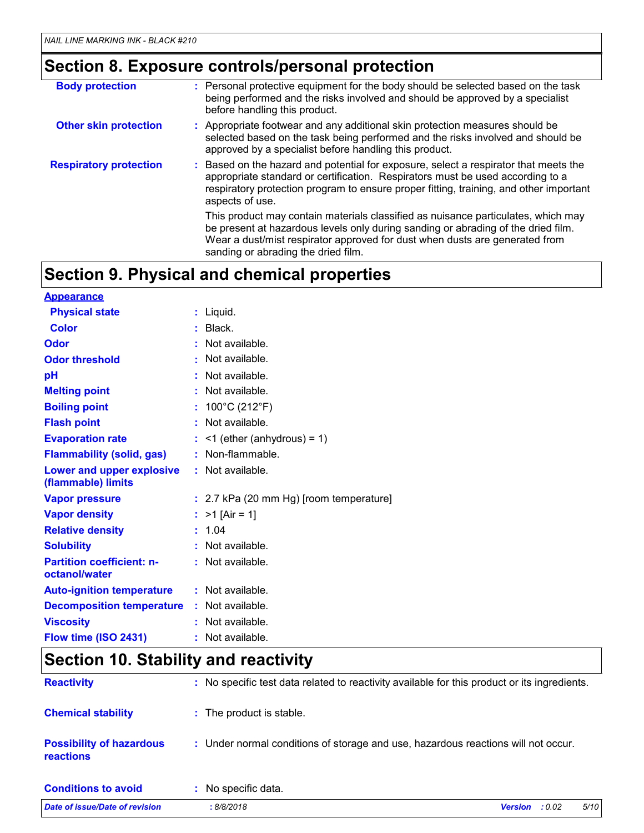# **Section 8. Exposure controls/personal protection**

| <b>Body protection</b>        | : Personal protective equipment for the body should be selected based on the task<br>being performed and the risks involved and should be approved by a specialist<br>before handling this product.                                                                                          |
|-------------------------------|----------------------------------------------------------------------------------------------------------------------------------------------------------------------------------------------------------------------------------------------------------------------------------------------|
| <b>Other skin protection</b>  | : Appropriate footwear and any additional skin protection measures should be<br>selected based on the task being performed and the risks involved and should be<br>approved by a specialist before handling this product.                                                                    |
| <b>Respiratory protection</b> | : Based on the hazard and potential for exposure, select a respirator that meets the<br>appropriate standard or certification. Respirators must be used according to a<br>respiratory protection program to ensure proper fitting, training, and other important<br>aspects of use.          |
|                               | This product may contain materials classified as nuisance particulates, which may<br>be present at hazardous levels only during sanding or abrading of the dried film.<br>Wear a dust/mist respirator approved for dust when dusts are generated from<br>sanding or abrading the dried film. |

# **Section 9. Physical and chemical properties**

| <b>Appearance</b>                                 |                                         |
|---------------------------------------------------|-----------------------------------------|
| <b>Physical state</b>                             | : Liquid.                               |
| <b>Color</b>                                      | : Black.                                |
| Odor                                              | $:$ Not available.                      |
| <b>Odor threshold</b>                             | : Not available.                        |
| pH                                                | : Not available.                        |
| <b>Melting point</b>                              | : Not available.                        |
| <b>Boiling point</b>                              | : $100^{\circ}$ C (212 $^{\circ}$ F)    |
| <b>Flash point</b>                                | $:$ Not available.                      |
| <b>Evaporation rate</b>                           | $:$ <1 (ether (anhydrous) = 1)          |
| <b>Flammability (solid, gas)</b>                  | : Non-flammable.                        |
| Lower and upper explosive<br>(flammable) limits   | : Not available.                        |
| <b>Vapor pressure</b>                             | : 2.7 kPa (20 mm Hg) [room temperature] |
| <b>Vapor density</b>                              | : $>1$ [Air = 1]                        |
| <b>Relative density</b>                           | : 1.04                                  |
| <b>Solubility</b>                                 | $:$ Not available.                      |
| <b>Partition coefficient: n-</b><br>octanol/water | : Not available.                        |
| <b>Auto-ignition temperature</b>                  | : Not available.                        |
| <b>Decomposition temperature</b>                  | : Not available.                        |
| <b>Viscosity</b>                                  | $:$ Not available.                      |
| Flow time (ISO 2431)                              | : Not available.                        |

# **Section 10. Stability and reactivity**

| <b>Reactivity</b>                                   | : No specific test data related to reactivity available for this product or its ingredients. |  |
|-----------------------------------------------------|----------------------------------------------------------------------------------------------|--|
| <b>Chemical stability</b>                           | : The product is stable.                                                                     |  |
| <b>Possibility of hazardous</b><br><b>reactions</b> | : Under normal conditions of storage and use, hazardous reactions will not occur.            |  |
| <b>Conditions to avoid</b>                          | : No specific data.                                                                          |  |
| Date of issue/Date of revision                      | 5/10<br>: 8/8/2018<br><b>Version</b><br>: 0.02                                               |  |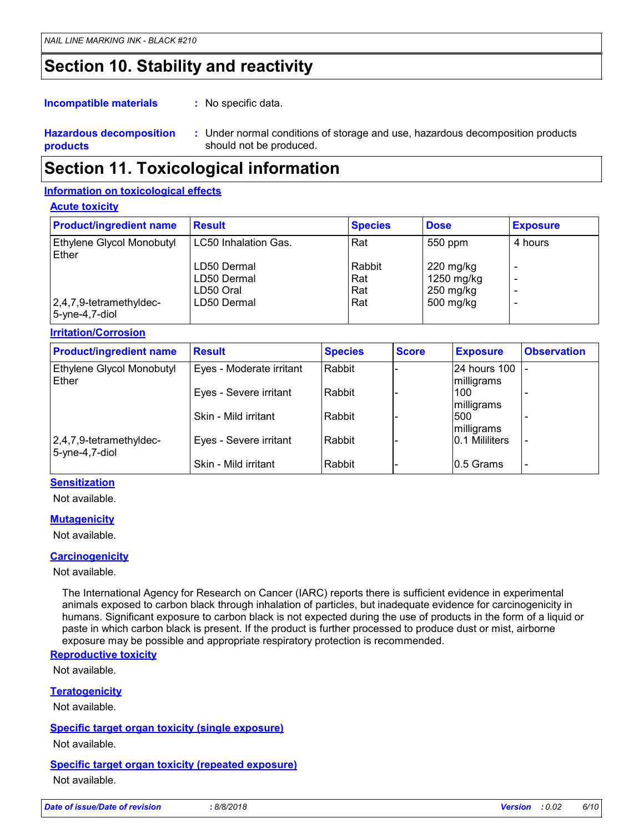### **Section 10. Stability and reactivity**

: No specific data. **Incompatible materials :**

#### **Hazardous decomposition products** Under normal conditions of storage and use, hazardous decomposition products **:** should not be produced.

### **Section 11. Toxicological information**

#### **Information on toxicological effects**

#### **Acute toxicity**

| <b>Product/ingredient name</b>            | <b>Result</b>        | <b>Species</b> | <b>Dose</b> | <b>Exposure</b> |
|-------------------------------------------|----------------------|----------------|-------------|-----------------|
| Ethylene Glycol Monobutyl<br>Ether        | LC50 Inhalation Gas. | Rat            | 550 ppm     | 4 hours         |
|                                           | LD50 Dermal          | Rabbit         | $220$ mg/kg |                 |
|                                           | LD50 Dermal          | Rat            | 1250 mg/kg  |                 |
|                                           | LD50 Oral            | Rat            | $250$ mg/kg |                 |
| 2,4,7,9-tetramethyldec-<br>5-yne-4,7-diol | LD50 Dermal          | Rat            | 500 mg/kg   |                 |

#### **Irritation/Corrosion**

| <b>Product/ingredient name</b>               | <b>Result</b>            | <b>Species</b> | <b>Score</b> | <b>Exposure</b>            | <b>Observation</b> |
|----------------------------------------------|--------------------------|----------------|--------------|----------------------------|--------------------|
| Ethylene Glycol Monobutyl<br>Ether           | Eyes - Moderate irritant | Rabbit         |              | 24 hours 100<br>milligrams |                    |
|                                              | Eyes - Severe irritant   | Rabbit         |              | 100<br>milligrams          |                    |
|                                              | Skin - Mild irritant     | Rabbit         |              | 500<br>milligrams          |                    |
| 2,4,7,9-tetramethyldec-<br>$5$ -yne-4,7-diol | Eyes - Severe irritant   | Rabbit         |              | 10.1 Mililiters            |                    |
|                                              | Skin - Mild irritant     | Rabbit         |              | 0.5 Grams                  |                    |

#### **Sensitization**

Not available.

#### **Mutagenicity**

Not available.

#### **Carcinogenicity**

Not available.

The International Agency for Research on Cancer (IARC) reports there is sufficient evidence in experimental animals exposed to carbon black through inhalation of particles, but inadequate evidence for carcinogenicity in humans. Significant exposure to carbon black is not expected during the use of products in the form of a liquid or paste in which carbon black is present. If the product is further processed to produce dust or mist, airborne exposure may be possible and appropriate respiratory protection is recommended.

#### **Reproductive toxicity**

Not available.

#### **Teratogenicity**

Not available.

#### **Specific target organ toxicity (single exposure)**

Not available.

#### **Specific target organ toxicity (repeated exposure)**

Not available.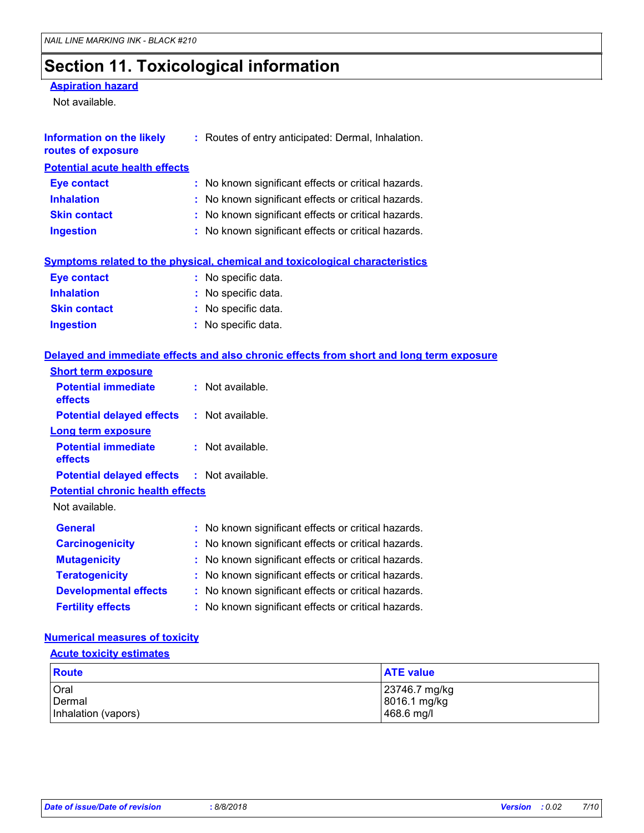## **Section 11. Toxicological information**

#### **Aspiration hazard**

Not available.

| Information on the likely<br>routes of exposure | : Routes of entry anticipated: Dermal, Inhalation.                                  |
|-------------------------------------------------|-------------------------------------------------------------------------------------|
| <b>Potential acute health effects</b>           |                                                                                     |
| <b>Eye contact</b>                              | : No known significant effects or critical hazards.                                 |
| <b>Inhalation</b>                               | : No known significant effects or critical hazards.                                 |
| <b>Skin contact</b>                             | : No known significant effects or critical hazards.                                 |
| <b>Ingestion</b>                                | : No known significant effects or critical hazards.                                 |
|                                                 | <b>Symptoms related to the physical, chemical and toxicological characteristics</b> |

| Eye contact         | : No specific data. |
|---------------------|---------------------|
| <b>Inhalation</b>   | : No specific data. |
| <b>Skin contact</b> | : No specific data. |
| <b>Ingestion</b>    | : No specific data. |

#### **Delayed and immediate effects and also chronic effects from short and long term exposure**

| $:$ Not available.                                  |
|-----------------------------------------------------|
| $:$ Not available.                                  |
|                                                     |
| $:$ Not available.                                  |
| <b>Potential delayed effects : Not available.</b>   |
| <b>Potential chronic health effects</b>             |
|                                                     |
| : No known significant effects or critical hazards. |
| : No known significant effects or critical hazards. |
| : No known significant effects or critical hazards. |
| : No known significant effects or critical hazards. |
| : No known significant effects or critical hazards. |
| : No known significant effects or critical hazards. |
|                                                     |

### **Numerical measures of toxicity**

#### **Acute toxicity estimates**

| <b>Route</b>        | <b>ATE value</b> |
|---------------------|------------------|
| <b>Oral</b>         | 23746.7 mg/kg    |
| Dermal              | 8016.1 mg/kg     |
| Inhalation (vapors) | 468.6 mg/l       |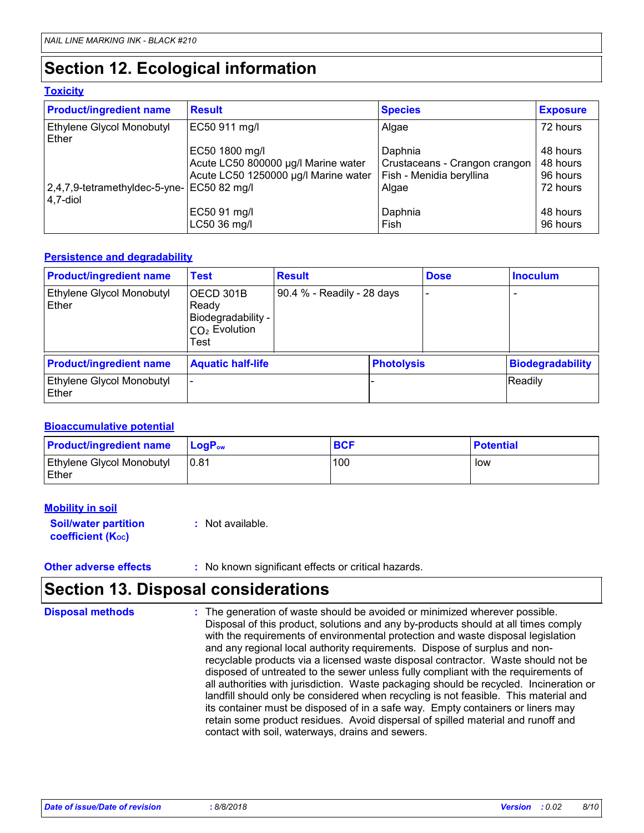## **Section 12. Ecological information**

#### **Toxicity**

| <b>Product/ingredient name</b>                    | <b>Result</b>                                                                                                 | <b>Species</b>                                                                | <b>Exposure</b>                              |
|---------------------------------------------------|---------------------------------------------------------------------------------------------------------------|-------------------------------------------------------------------------------|----------------------------------------------|
| <b>Ethylene Glycol Monobutyl</b><br>Ether         | EC50 911 mg/l                                                                                                 | Algae                                                                         | 72 hours                                     |
| $ 2,4,7,9$ -tetramethyldec-5-yne-<br>$ 4,7$ -diol | EC50 1800 mg/l<br>Acute LC50 800000 µg/l Marine water<br>Acute LC50 1250000 µg/l Marine water<br>EC50 82 mg/l | Daphnia<br>Crustaceans - Crangon crangon<br>Fish - Menidia beryllina<br>Algae | 48 hours<br>48 hours<br>96 hours<br>72 hours |
|                                                   | EC50 91 mg/l<br>LC50 36 mg/l                                                                                  | Daphnia<br>Fish                                                               | 48 hours<br>96 hours                         |

#### **Persistence and degradability**

| <b>Product/ingredient name</b>                   | <b>Test</b>                                                         | <b>Result</b>              |                   | <b>Dose</b>              | <b>Inoculum</b>          |
|--------------------------------------------------|---------------------------------------------------------------------|----------------------------|-------------------|--------------------------|--------------------------|
| <b>Ethylene Glycol Monobutyl</b><br><b>Ether</b> | OECD 301B<br>Ready<br>Biodegradability -<br>$CO2$ Evolution<br>Test | 90.4 % - Readily - 28 days |                   | $\overline{\phantom{a}}$ | $\overline{\phantom{a}}$ |
| <b>Product/ingredient name</b>                   | <b>Aquatic half-life</b>                                            |                            | <b>Photolysis</b> |                          | <b>Biodegradability</b>  |
| <b>Ethylene Glycol Monobutyl</b><br>l Ether      |                                                                     |                            |                   |                          | Readily                  |

#### **Bioaccumulative potential**

| <b>Product/ingredient name</b>            | <b>LogP</b> <sub>ow</sub> | <b>BCF</b> | <b>Potential</b> |
|-------------------------------------------|---------------------------|------------|------------------|
| <b>Ethylene Glycol Monobutyl</b><br>Ether | 10.81                     | 100        | low              |

| <b>Mobility in soil</b>     |                  |
|-----------------------------|------------------|
| <b>Soil/water partition</b> | : Not available. |
| <b>coefficient (Koc)</b>    |                  |

**Other adverse effects** : No known significant effects or critical hazards.

### **Section 13. Disposal considerations**

The generation of waste should be avoided or minimized wherever possible. Disposal of this product, solutions and any by-products should at all times comply with the requirements of environmental protection and waste disposal legislation and any regional local authority requirements. Dispose of surplus and nonrecyclable products via a licensed waste disposal contractor. Waste should not be disposed of untreated to the sewer unless fully compliant with the requirements of all authorities with jurisdiction. Waste packaging should be recycled. Incineration or landfill should only be considered when recycling is not feasible. This material and its container must be disposed of in a safe way. Empty containers or liners may retain some product residues. Avoid dispersal of spilled material and runoff and contact with soil, waterways, drains and sewers. **Disposal methods :**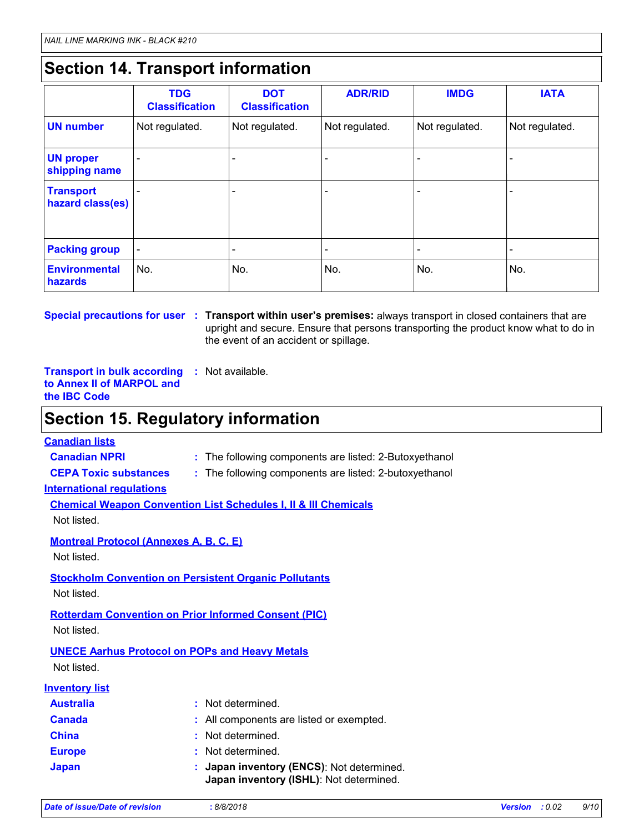## **Section 14. Transport information**

|                                      | <b>TDG</b><br><b>Classification</b> | <b>DOT</b><br><b>Classification</b> | <b>ADR/RID</b>           | <b>IMDG</b>    | <b>IATA</b>    |
|--------------------------------------|-------------------------------------|-------------------------------------|--------------------------|----------------|----------------|
| <b>UN number</b>                     | Not regulated.                      | Not regulated.                      | Not regulated.           | Not regulated. | Not regulated. |
| <b>UN proper</b><br>shipping name    |                                     | ۰                                   |                          |                |                |
| <b>Transport</b><br>hazard class(es) |                                     | ۰                                   | $\overline{\phantom{0}}$ |                |                |
| <b>Packing group</b>                 |                                     | ۰                                   | $\overline{\phantom{0}}$ |                |                |
| <b>Environmental</b><br>hazards      | No.                                 | No.                                 | No.                      | No.            | No.            |

**Special precautions for user** : Transport within user's premises: always transport in closed containers that are upright and secure. Ensure that persons transporting the product know what to do in the event of an accident or spillage.

**Transport in bulk according :** Not available. **to Annex II of MARPOL and the IBC Code**

### **Section 15. Regulatory information**

#### **Canadian lists**

**Canadian NPRI :** The following components are listed: 2-Butoxyethanol

**CEPA Toxic substances :** The following components are listed: 2-butoxyethanol

#### **International regulations**

**Chemical Weapon Convention List Schedules I, II & III Chemicals**

Not listed.

**Montreal Protocol (Annexes A, B, C, E)**

Not listed.

### **Stockholm Convention on Persistent Organic Pollutants**

Not listed.

**Rotterdam Convention on Prior Informed Consent (PIC)**

Not listed.

### **UNECE Aarhus Protocol on POPs and Heavy Metals**

Not listed.

### **Inventory list**

| <b>Australia</b> | : Not determined.                                                                    |  |
|------------------|--------------------------------------------------------------------------------------|--|
| <b>Canada</b>    | : All components are listed or exempted.                                             |  |
| <b>China</b>     | : Not determined.                                                                    |  |
| <b>Europe</b>    | : Not determined.                                                                    |  |
| <b>Japan</b>     | : Japan inventory (ENCS): Not determined.<br>Japan inventory (ISHL): Not determined. |  |